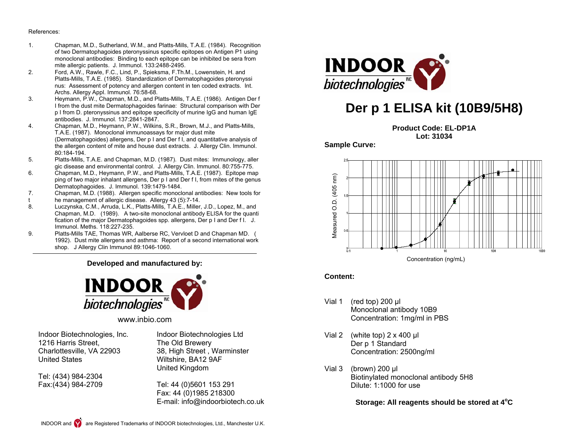#### References:

- 1. Chapman, M.D., Sutherland, W.M., and Platts-Mills, T.A.E. (1984). Recognition of two Dermatophagoides pteronyssinus specific epitopes on Antigen P1 using monoclonal antibodies: Binding to each epitope can be inhibited be sera from mite allergic patients. J. Immunol. 133:2488-2495.<br>Pord. A.W., Rawle, F.C., Lind, P., Spieksma, F.Th.
- 2. Ford, A.W., Rawle, F.C., Lind, P., Spieksma, F.Th.M., Lowenstein, H. and Platts-Mills, T.A.E. (1985). Standardization of Dermatophagoides pteronyssi nus: Assessment of potency and allergen content in ten coded extracts. Int. Archs. Allergy Appl. Immunol. 76:58-68.<br>3. Heymann. P.W., Chapman, M.D., and P.
- Heymann, P.W., Chapman, M.D., and Platts-Mills, T.A.E. (1986). Antigen Der f I from the dust mite Dermatophagoides farinae: Structural comparison with Der p I from D. pteronyssinus and epitope specificity of murine IgG and human IgE antibodies. J. Immunol. 137:2841-2847.
- 4. Chapman, M.D., Heymann, P.W., Wilkins, S.R., Brown, M.J., and Platts-Mills, T.A.E. (1987). Monoclonal immunoassays for major dust mite (Dermatophagoides) allergens, Der p I and Der f I, and quantitative analysis of the allergen content of mite and house dust extracts. J. Allergy Clin. Immunol. 80:184-194.
- 5. Platts-Mills, T.A.E. and Chapman, M.D. (1987). Dust mites: Immunology, aller gic disease and environmental control. J. Allergy Clin. Immunol. 80:755-775.<br>6 Chanman, M.D. Heymann, P.W. and Platts-Mills, T.A.F. (1987). Enitone ma
- 6. Chapman, M.D., Heymann, P.W., and Platts-Mills, T.A.E. (1987). Epitope map ping of two major inhalant allergens, Der p I and Der f I, from mites of the genus Dermatophagoides. J. Immunol. 139:1479-1484.
- 7. Chapman, M.D. (1988). Allergen specific monoclonal antibodies: New tools for
- t he management of allergic disease. Allergy 43 (5):7-14.
- Luczynska, C.M., Arruda, L.K., Platts-Mills, T.A.E., Miller, J.D., Lopez, M., and Chapman, M.D. (1989). A two-site monoclonal antibody ELISA for the quanti fication of the major Dermatophagoides spp. allergens, Der p I and Der f I. J. Immunol. Meths. 118:227-235.
- 9. Platts-Mills TAE, Thomas WR, Aalberse RC, Vervloet D and Chapman MD. ( 1992). Dust mite allergens and asthma: Report of a second international work shop. J Allergy Clin Immunol 89:1046-1060.

#### **Developed and manufactured by:**



www.inbio.com

Indoor Biotechnologies, Inc. 1216 Harris Street, Charlottesville, VA 22903 United States

Tel: (434) 984-2304 Fax:(434) 984-2709 Indoor Biotechnologies Ltd The Old Brewery 38, High Street , Warminster Wiltshire, BA12 9AF United Kingdom

Tel: 44 (0)5601 153 291 Fax: 44 (0)1985 218300 E-mail: info@indoorbiotech.co.uk



# **Der p 1 ELISA kit (10B9/5H8)**

**Product Code: EL-DP1A Lot: 31034** 

**Sample Curve:** 



### **Content:**

- Vial 1 (red top) 200 μl Monoclonal antibody 10B9 Concentration: 1mg/ml in PBS
- Vial 2 (white top) 2 x 400 μl Der p 1 Standard Concentration: 2500ng/ml
- Vial 3 (brown) 200 μl Biotinylated monoclonal antibody 5H8 Dilute: 1:1000 for use

**Storage: All reagents should be stored at 4°C**